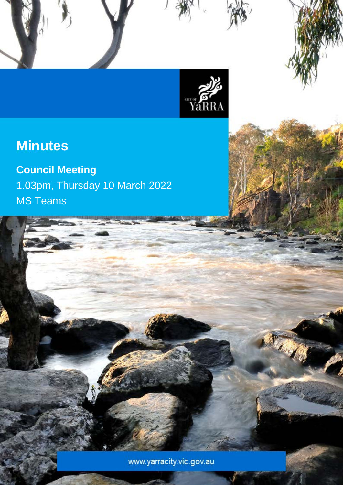

Council Meeting Minutes – 25 January 2022

## **Minutes**

# **Council Meeting**

1.03pm, Thursday 10 March 2022 MS Teams

www.yarracity.vic.gov.au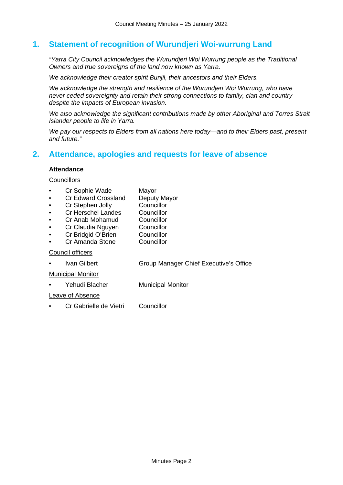## **1. Statement of recognition of Wurundjeri Woi-wurrung Land**

*"Yarra City Council acknowledges the Wurundjeri Woi Wurrung people as the Traditional Owners and true sovereigns of the land now known as Yarra.*

*We acknowledge their creator spirit Bunjil, their ancestors and their Elders.*

*We acknowledge the strength and resilience of the Wurundjeri Woi Wurrung, who have never ceded sovereignty and retain their strong connections to family, clan and country despite the impacts of European invasion.*

*We also acknowledge the significant contributions made by other Aboriginal and Torres Strait Islander people to life in Yarra.*

*We pay our respects to Elders from all nations here today—and to their Elders past, present and future."*

## **2. Attendance, apologies and requests for leave of absence**

### **Attendance**

## **Councillors**

- 
- Cr Sophie Wade Mayor<br>Cr Edward Crossland Deputy Mayor **Cr Edward Crossland Deputy Manual Cr Stephen Jolly Connect Connect Deputy Manual Connect Deputy Manual Connect**
- **Cr Stephen Jolly Councillor<br>Cr Herschel Landes Councillor**
- **Cr Herschel Landes Councillor<br>
Cr Anab Mohamud Councillor** 
	- Cr Anab Mohamud
- Cr Claudia Nguyen Councillor
- Cr Bridgid O'Brien Councillor
- Cr Amanda Stone Councillor

Council officers

• Ivan Gilbert Group Manager Chief Executive's Office

Municipal Monitor

• Yehudi Blacher Municipal Monitor

Leave of Absence

• Cr Gabrielle de Vietri Councillor